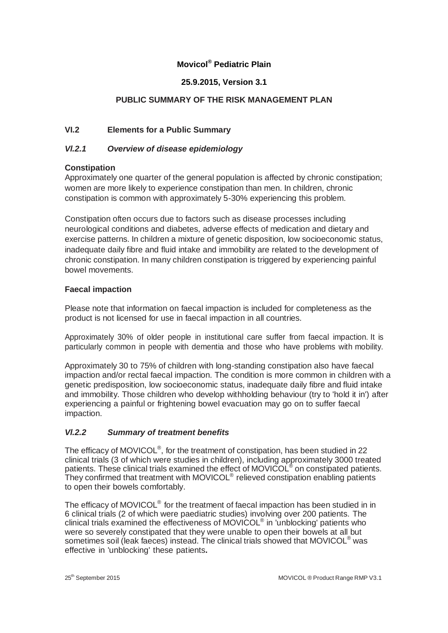# **Movicol® Pediatric Plain**

# **25.9.2015, Version 3.1**

# **PUBLIC SUMMARY OF THE RISK MANAGEMENT PLAN**

# **VI.2 Elements for a Public Summary**

### *Vl.2.1 Overview of disease epidemiology*

#### **Constipation**

Approximately one quarter of the general population is affected by chronic constipation; women are more likely to experience constipation than men. In children, chronic constipation is common with approximately 5-30% experiencing this problem.

Constipation often occurs due to factors such as disease processes including neurological conditions and diabetes, adverse effects of medication and dietary and exercise patterns. In children a mixture of genetic disposition, low socioeconomic status, inadequate daily fibre and fluid intake and immobility are related to the development of chronic constipation. In many children constipation is triggered by experiencing painful bowel movements.

#### **Faecal impaction**

Please note that information on faecal impaction is included for completeness as the product is not licensed for use in faecal impaction in all countries.

Approximately 30% of older people in institutional care suffer from faecal impaction. It is particularly common in people with dementia and those who have problems with mobility.

Approximately 30 to 75% of children with long-standing constipation also have faecal impaction and/or rectal faecal impaction. The condition is more common in children with a genetic predisposition, low socioeconomic status, inadequate daily fibre and fluid intake and immobility. Those children who develop withholding behaviour (try to 'hold it in') after experiencing a painful or frightening bowel evacuation may go on to suffer faecal impaction.

#### *Vl.2.2 Summary of treatment benefits*

The efficacy of MOVICOL<sup>®</sup>, for the treatment of constipation, has been studied in 22 clinical trials (3 of which were studies in children), including approximately 3000 treated patients. These clinical trials examined the effect of MOVICOL<sup>®</sup> on constipated patients. They confirmed that treatment with MOVICOL® relieved constipation enabling patients to open their bowels comfortably.

The efficacy of MOVICOL<sup>®</sup> for the treatment of faecal impaction has been studied in in 6 clinical trials (2 of which were paediatric studies) involving over 200 patients. The clinical trials examined the effectiveness of MOVICOL® in 'unblocking' patients who were so severely constipated that they were unable to open their bowels at all but sometimes soil (leak faeces) instead. The clinical trials showed that MOVICOL® was effective in 'unblocking' these patients**.**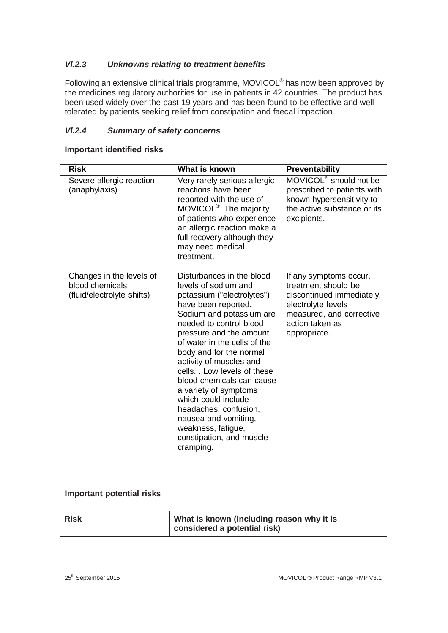## *Vl.2.3 Unknowns relating to treatment benefits*

Following an extensive clinical trials programme, MOVICOL® has now been approved by the medicines regulatory authorities for use in patients in 42 countries. The product has been used widely over the past 19 years and has been found to be effective and well tolerated by patients seeking relief from constipation and faecal impaction.

### *Vl.2.4 Summary of safety concerns*

# **Important identified risks**

| <b>Risk</b>                                                               | What is known                                                                                                                                                                                                                                                                                                                                                                                                                                                                                               | <b>Preventability</b>                                                                                                                                           |
|---------------------------------------------------------------------------|-------------------------------------------------------------------------------------------------------------------------------------------------------------------------------------------------------------------------------------------------------------------------------------------------------------------------------------------------------------------------------------------------------------------------------------------------------------------------------------------------------------|-----------------------------------------------------------------------------------------------------------------------------------------------------------------|
| Severe allergic reaction<br>(anaphylaxis)                                 | Very rarely serious allergic<br>reactions have been<br>reported with the use of<br>MOVICOL <sup>®</sup> . The majority<br>of patients who experience<br>an allergic reaction make a<br>full recovery although they<br>may need medical<br>treatment.                                                                                                                                                                                                                                                        | MOVICOL <sup>®</sup> should not be<br>prescribed to patients with<br>known hypersensitivity to<br>the active substance or its<br>excipients.                    |
| Changes in the levels of<br>blood chemicals<br>(fluid/electrolyte shifts) | Disturbances in the blood<br>levels of sodium and<br>potassium ("electrolytes")<br>have been reported.<br>Sodium and potassium are<br>needed to control blood<br>pressure and the amount<br>of water in the cells of the<br>body and for the normal<br>activity of muscles and<br>cells. . Low levels of these<br>blood chemicals can cause<br>a variety of symptoms<br>which could include<br>headaches, confusion,<br>nausea and vomiting,<br>weakness, fatigue,<br>constipation, and muscle<br>cramping. | If any symptoms occur,<br>treatment should be<br>discontinued immediately,<br>electrolyte levels<br>measured, and corrective<br>action taken as<br>appropriate. |

#### **Important potential risks**

| <b>Risk</b> | What is known (Including reason why it is |
|-------------|-------------------------------------------|
|             | considered a potential risk)              |